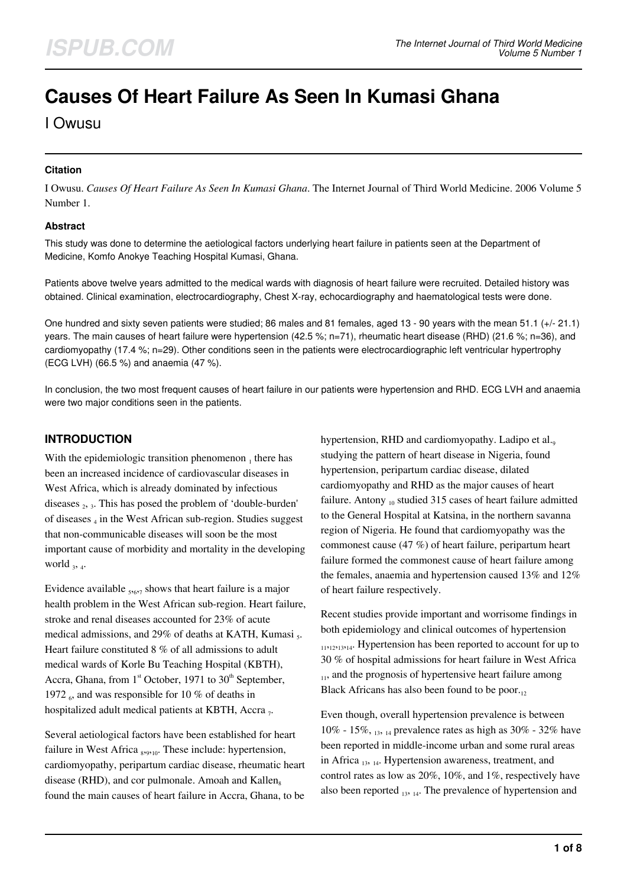# **Causes Of Heart Failure As Seen In Kumasi Ghana**

I Owusu

### **Citation**

I Owusu. *Causes Of Heart Failure As Seen In Kumasi Ghana*. The Internet Journal of Third World Medicine. 2006 Volume 5 Number 1.

#### **Abstract**

This study was done to determine the aetiological factors underlying heart failure in patients seen at the Department of Medicine, Komfo Anokye Teaching Hospital Kumasi, Ghana.

Patients above twelve years admitted to the medical wards with diagnosis of heart failure were recruited. Detailed history was obtained. Clinical examination, electrocardiography, Chest X-ray, echocardiography and haematological tests were done.

One hundred and sixty seven patients were studied; 86 males and 81 females, aged 13 - 90 years with the mean 51.1 (+/- 21.1) years. The main causes of heart failure were hypertension (42.5 %; n=71), rheumatic heart disease (RHD) (21.6 %; n=36), and cardiomyopathy (17.4 %; n=29). Other conditions seen in the patients were electrocardiographic left ventricular hypertrophy (ECG LVH) (66.5 %) and anaemia (47 %).

In conclusion, the two most frequent causes of heart failure in our patients were hypertension and RHD. ECG LVH and anaemia were two major conditions seen in the patients.

## **INTRODUCTION**

With the epidemiologic transition phenomenon  $_1$  there has been an increased incidence of cardiovascular diseases in West Africa, which is already dominated by infectious diseases <sub>2</sub>, 3. This has posed the problem of 'double-burden' of diseases <sub>4</sub> in the West African sub-region. Studies suggest that non-communicable diseases will soon be the most important cause of morbidity and mortality in the developing world  $_3$ ,  $_4$ .

Evidence available <sub>5,67</sub> shows that heart failure is a major health problem in the West African sub-region. Heart failure, stroke and renal diseases accounted for 23% of acute medical admissions, and 29% of deaths at KATH, Kumasi <sub>5</sub>. Heart failure constituted 8 % of all admissions to adult medical wards of Korle Bu Teaching Hospital (KBTH), Accra, Ghana, from  $1<sup>st</sup>$  October, 1971 to  $30<sup>th</sup>$  September, 1972  $_6$ , and was responsible for 10 % of deaths in hospitalized adult medical patients at KBTH, Accra  $_7$ .

Several aetiological factors have been established for heart failure in West Africa <sub>8,9,10</sub>. These include: hypertension, cardiomyopathy, peripartum cardiac disease, rheumatic heart disease (RHD), and cor pulmonale. Amoah and Kallen. found the main causes of heart failure in Accra, Ghana, to be

hypertension, RHD and cardiomyopathy. Ladipo et al.<sub>9</sub> studying the pattern of heart disease in Nigeria, found hypertension, peripartum cardiac disease, dilated cardiomyopathy and RHD as the major causes of heart failure. Antony  $_{10}$  studied 315 cases of heart failure admitted to the General Hospital at Katsina, in the northern savanna region of Nigeria. He found that cardiomyopathy was the commonest cause (47 %) of heart failure, peripartum heart failure formed the commonest cause of heart failure among the females, anaemia and hypertension caused 13% and 12% of heart failure respectively.

Recent studies provide important and worrisome findings in both epidemiology and clinical outcomes of hypertension <sup>11</sup>,12,13,14. Hypertension has been reported to account for up to 30 % of hospital admissions for heart failure in West Africa  $_{11}$ , and the prognosis of hypertensive heart failure among Black Africans has also been found to be poor. $_{12}$ 

Even though, overall hypertension prevalence is between 10% - 15%,  $_{13, 14}$  prevalence rates as high as 30% - 32% have been reported in middle-income urban and some rural areas in Africa  $_{13, 14}$ . Hypertension awareness, treatment, and control rates as low as 20%, 10%, and 1%, respectively have also been reported  $_{13, 14}$ . The prevalence of hypertension and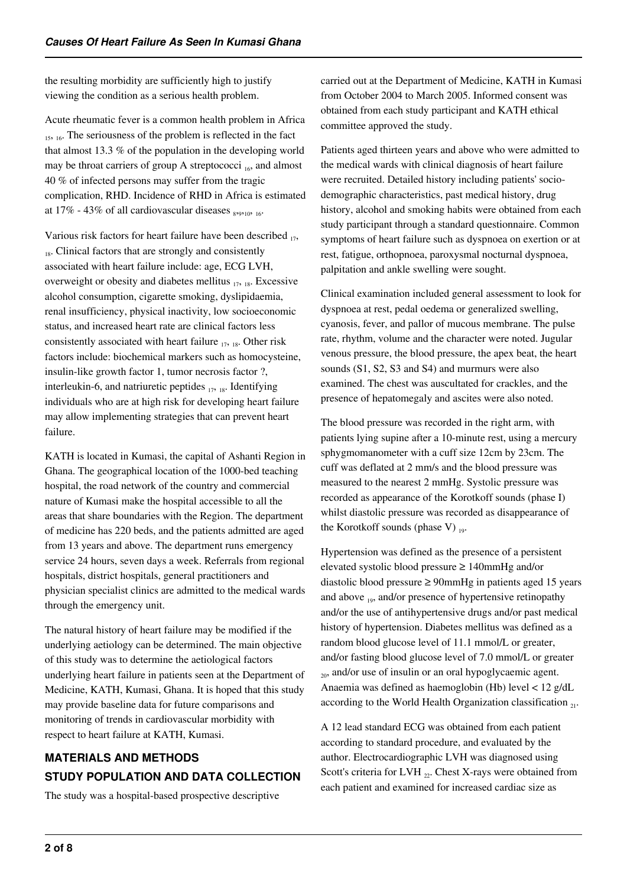the resulting morbidity are sufficiently high to justify viewing the condition as a serious health problem.

Acute rheumatic fever is a common health problem in Africa <sub>15, 16</sub>. The seriousness of the problem is reflected in the fact that almost 13.3 % of the population in the developing world may be throat carriers of group A streptococci  $_{16}$ , and almost 40 % of infected persons may suffer from the tragic complication, RHD. Incidence of RHD in Africa is estimated at 17% - 43% of all cardiovascular diseases  $_{8,9,10,16}$ .

Various risk factors for heart failure have been described  $_{17}$ ,  $_{18}$ . Clinical factors that are strongly and consistently associated with heart failure include: age, ECG LVH, overweight or obesity and diabetes mellitus  $_{17, 18}$ . Excessive alcohol consumption, cigarette smoking, dyslipidaemia, renal insufficiency, physical inactivity, low socioeconomic status, and increased heart rate are clinical factors less consistently associated with heart failure  $_{17, 18}$ . Other risk factors include: biochemical markers such as homocysteine, insulin-like growth factor 1, tumor necrosis factor ?, interleukin-6, and natriuretic peptides  $_{17, 18}$ . Identifying individuals who are at high risk for developing heart failure may allow implementing strategies that can prevent heart failure.

KATH is located in Kumasi, the capital of Ashanti Region in Ghana. The geographical location of the 1000-bed teaching hospital, the road network of the country and commercial nature of Kumasi make the hospital accessible to all the areas that share boundaries with the Region. The department of medicine has 220 beds, and the patients admitted are aged from 13 years and above. The department runs emergency service 24 hours, seven days a week. Referrals from regional hospitals, district hospitals, general practitioners and physician specialist clinics are admitted to the medical wards through the emergency unit.

The natural history of heart failure may be modified if the underlying aetiology can be determined. The main objective of this study was to determine the aetiological factors underlying heart failure in patients seen at the Department of Medicine, KATH, Kumasi, Ghana. It is hoped that this study may provide baseline data for future comparisons and monitoring of trends in cardiovascular morbidity with respect to heart failure at KATH, Kumasi.

## **MATERIALS AND METHODS STUDY POPULATION AND DATA COLLECTION**

The study was a hospital-based prospective descriptive

carried out at the Department of Medicine, KATH in Kumasi from October 2004 to March 2005. Informed consent was obtained from each study participant and KATH ethical committee approved the study.

Patients aged thirteen years and above who were admitted to the medical wards with clinical diagnosis of heart failure were recruited. Detailed history including patients' sociodemographic characteristics, past medical history, drug history, alcohol and smoking habits were obtained from each study participant through a standard questionnaire. Common symptoms of heart failure such as dyspnoea on exertion or at rest, fatigue, orthopnoea, paroxysmal nocturnal dyspnoea, palpitation and ankle swelling were sought.

Clinical examination included general assessment to look for dyspnoea at rest, pedal oedema or generalized swelling, cyanosis, fever, and pallor of mucous membrane. The pulse rate, rhythm, volume and the character were noted. Jugular venous pressure, the blood pressure, the apex beat, the heart sounds (S1, S2, S3 and S4) and murmurs were also examined. The chest was auscultated for crackles, and the presence of hepatomegaly and ascites were also noted.

The blood pressure was recorded in the right arm, with patients lying supine after a 10-minute rest, using a mercury sphygmomanometer with a cuff size 12cm by 23cm. The cuff was deflated at 2 mm/s and the blood pressure was measured to the nearest 2 mmHg. Systolic pressure was recorded as appearance of the Korotkoff sounds (phase I) whilst diastolic pressure was recorded as disappearance of the Korotkoff sounds (phase V)  $_{19}$ .

Hypertension was defined as the presence of a persistent elevated systolic blood pressure ≥ 140mmHg and/or diastolic blood pressure ≥ 90mmHg in patients aged 15 years and above  $_{19}$ , and/or presence of hypertensive retinopathy and/or the use of antihypertensive drugs and/or past medical history of hypertension. Diabetes mellitus was defined as a random blood glucose level of 11.1 mmol/L or greater, and/or fasting blood glucose level of 7.0 mmol/L or greater  $_{20}$ , and/or use of insulin or an oral hypoglycaemic agent. Anaemia was defined as haemoglobin (Hb) level < 12 g/dL according to the World Health Organization classification  $_{21}$ .

A 12 lead standard ECG was obtained from each patient according to standard procedure, and evaluated by the author. Electrocardiographic LVH was diagnosed using Scott's criteria for LVH  $_{22}$ . Chest X-rays were obtained from each patient and examined for increased cardiac size as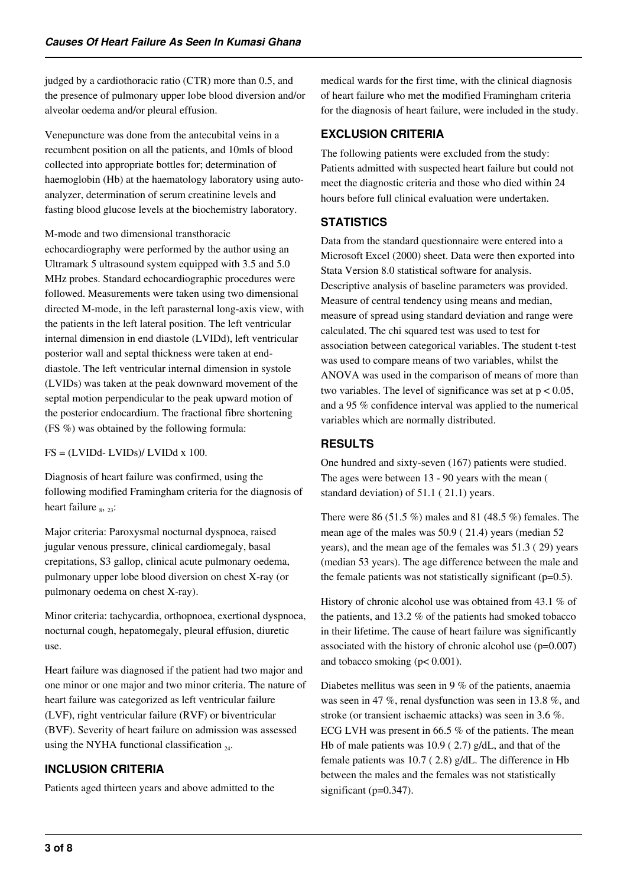judged by a cardiothoracic ratio (CTR) more than 0.5, and the presence of pulmonary upper lobe blood diversion and/or alveolar oedema and/or pleural effusion.

Venepuncture was done from the antecubital veins in a recumbent position on all the patients, and 10mls of blood collected into appropriate bottles for; determination of haemoglobin (Hb) at the haematology laboratory using autoanalyzer, determination of serum creatinine levels and fasting blood glucose levels at the biochemistry laboratory.

M-mode and two dimensional transthoracic echocardiography were performed by the author using an Ultramark 5 ultrasound system equipped with 3.5 and 5.0 MHz probes. Standard echocardiographic procedures were followed. Measurements were taken using two dimensional directed M-mode, in the left parasternal long-axis view, with the patients in the left lateral position. The left ventricular internal dimension in end diastole (LVIDd), left ventricular posterior wall and septal thickness were taken at enddiastole. The left ventricular internal dimension in systole (LVIDs) was taken at the peak downward movement of the septal motion perpendicular to the peak upward motion of the posterior endocardium. The fractional fibre shortening (FS %) was obtained by the following formula:

 $FS = (LVIDd - LVIDs)/ LVIDd x 100.$ 

Diagnosis of heart failure was confirmed, using the following modified Framingham criteria for the diagnosis of heart failure  $_{8}$ ,  $_{23}$ :

Major criteria: Paroxysmal nocturnal dyspnoea, raised jugular venous pressure, clinical cardiomegaly, basal crepitations, S3 gallop, clinical acute pulmonary oedema, pulmonary upper lobe blood diversion on chest X-ray (or pulmonary oedema on chest X-ray).

Minor criteria: tachycardia, orthopnoea, exertional dyspnoea, nocturnal cough, hepatomegaly, pleural effusion, diuretic use.

Heart failure was diagnosed if the patient had two major and one minor or one major and two minor criteria. The nature of heart failure was categorized as left ventricular failure (LVF), right ventricular failure (RVF) or biventricular (BVF). Severity of heart failure on admission was assessed using the NYHA functional classification  $_{24}$ .

## **INCLUSION CRITERIA**

Patients aged thirteen years and above admitted to the

medical wards for the first time, with the clinical diagnosis of heart failure who met the modified Framingham criteria for the diagnosis of heart failure, were included in the study.

## **EXCLUSION CRITERIA**

The following patients were excluded from the study: Patients admitted with suspected heart failure but could not meet the diagnostic criteria and those who died within 24 hours before full clinical evaluation were undertaken.

## **STATISTICS**

Data from the standard questionnaire were entered into a Microsoft Excel (2000) sheet. Data were then exported into Stata Version 8.0 statistical software for analysis. Descriptive analysis of baseline parameters was provided. Measure of central tendency using means and median, measure of spread using standard deviation and range were calculated. The chi squared test was used to test for association between categorical variables. The student t-test was used to compare means of two variables, whilst the ANOVA was used in the comparison of means of more than two variables. The level of significance was set at  $p < 0.05$ , and a 95 % confidence interval was applied to the numerical variables which are normally distributed.

## **RESULTS**

One hundred and sixty-seven (167) patients were studied. The ages were between 13 - 90 years with the mean ( standard deviation) of 51.1 ( 21.1) years.

There were 86 (51.5 %) males and 81 (48.5 %) females. The mean age of the males was 50.9 ( 21.4) years (median 52 years), and the mean age of the females was 51.3 ( 29) years (median 53 years). The age difference between the male and the female patients was not statistically significant  $(p=0.5)$ .

History of chronic alcohol use was obtained from 43.1 % of the patients, and 13.2 % of the patients had smoked tobacco in their lifetime. The cause of heart failure was significantly associated with the history of chronic alcohol use (p=0.007) and tobacco smoking (p< 0.001).

Diabetes mellitus was seen in 9 % of the patients, anaemia was seen in 47 %, renal dysfunction was seen in 13.8 %, and stroke (or transient ischaemic attacks) was seen in 3.6 %. ECG LVH was present in 66.5 % of the patients. The mean Hb of male patients was 10.9 ( 2.7) g/dL, and that of the female patients was 10.7 ( 2.8) g/dL. The difference in Hb between the males and the females was not statistically significant (p=0.347).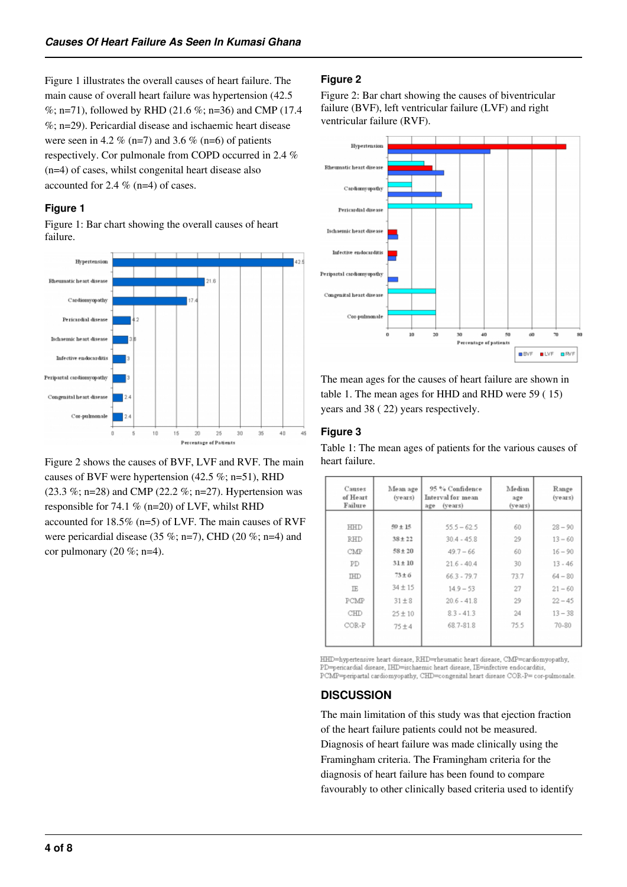Figure 1 illustrates the overall causes of heart failure. The main cause of overall heart failure was hypertension (42.5 %; n=71), followed by RHD (21.6 %; n=36) and CMP (17.4  $\%$ ; n=29). Pericardial disease and ischaemic heart disease were seen in 4.2 % (n=7) and 3.6 % (n=6) of patients respectively. Cor pulmonale from COPD occurred in 2.4 % (n=4) of cases, whilst congenital heart disease also accounted for 2.4 % (n=4) of cases.

#### **Figure 1**

Figure 1: Bar chart showing the overall causes of heart failure.



Figure 2 shows the causes of BVF, LVF and RVF. The main causes of BVF were hypertension (42.5 %; n=51), RHD (23.3 %; n=28) and CMP (22.2 %; n=27). Hypertension was responsible for 74.1  $%$  (n=20) of LVF, whilst RHD accounted for 18.5% (n=5) of LVF. The main causes of RVF were pericardial disease (35 %; n=7), CHD (20 %; n=4) and cor pulmonary  $(20 \%; n=4)$ .

#### **Figure 2**

Figure 2: Bar chart showing the causes of biventricular failure (BVF), left ventricular failure (LVF) and right ventricular failure (RVF).



The mean ages for the causes of heart failure are shown in table 1. The mean ages for HHD and RHD were 59 ( 15) years and 38 ( 22) years respectively.

#### **Figure 3**

Table 1: The mean ages of patients for the various causes of heart failure.

| Causes<br>of Heart<br>Failure | Mean age<br>(years) | 95 % Confidence<br>Interval for mean<br>(years)<br>age | Median<br>age<br>(years) | Range<br>$(vears)$ |
|-------------------------------|---------------------|--------------------------------------------------------|--------------------------|--------------------|
| HHD                           | $50 + 15$           | $55.5 - 62.5$                                          | 60                       | $28 - 90$          |
| <b>RHD</b>                    | $38 + 22$           | $30.4 - 45.8$                                          | 29                       | $13 - 60$          |
| CMP                           | $58 \pm 20$         | $49.7 - 66$                                            | 60                       | $16 - 90$          |
| PD                            | $31 \pm 10$         | $21.6 - 40.4$                                          | 30                       | $13 - 46$          |
| <b>IHID</b>                   | $73 + 6$            | $66.3 - 79.7$                                          | 73.7                     | $64 - 80$          |
| IE                            | $34 \pm 15$         | $14.9 - 53$                                            | 27                       | $21 - 60$          |
| PCMP                          | $31 \pm 8$          | $20.6 - 41.8$                                          | 29                       | $22 - 45$          |
| CHD                           | $25 \pm 10$         | $8.3 - 41.3$                                           | 24                       | $13 - 38$          |
| COR-P                         | $75 + 4$            | 68.7-81.8                                              | 75.5                     | $70 - 80$          |
|                               |                     |                                                        |                          |                    |

HHD=hypertensive heart disease, RHD=rheumatic heart disease, CMP=cardiomyopathy, PD=pericardial disease, IHD=ischaemic heart disease, IE=infective endocarditis, PCMP=peripartal cardiomyopathy, CHD=congenital heart disease COR-P=cor-pulmonale

#### **DISCUSSION**

The main limitation of this study was that ejection fraction of the heart failure patients could not be measured. Diagnosis of heart failure was made clinically using the Framingham criteria. The Framingham criteria for the diagnosis of heart failure has been found to compare favourably to other clinically based criteria used to identify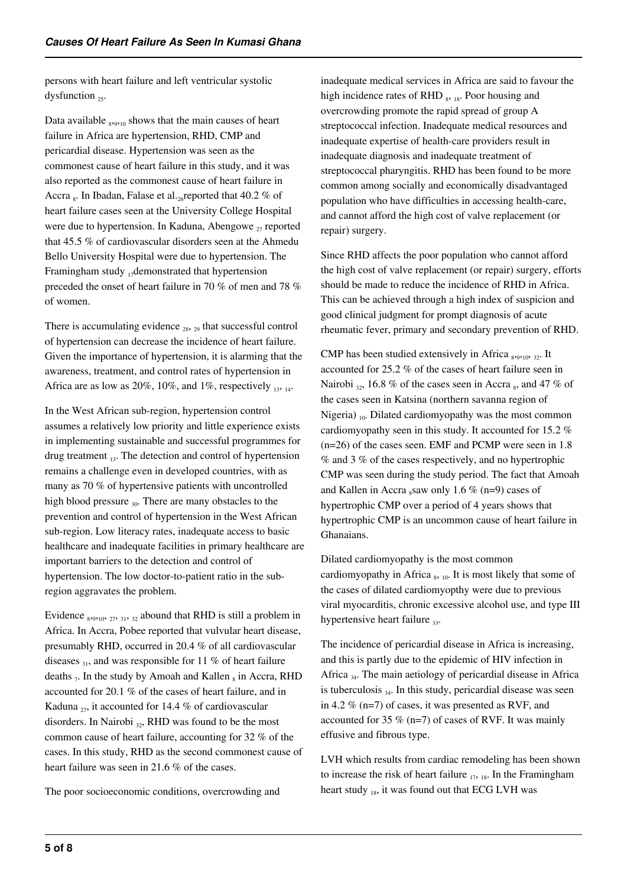persons with heart failure and left ventricular systolic dysfunction  $_{25}$ .

Data available  $_{8,9,10}$  shows that the main causes of heart failure in Africa are hypertension, RHD, CMP and pericardial disease. Hypertension was seen as the commonest cause of heart failure in this study, and it was also reported as the commonest cause of heart failure in Accra  $_{8}$ . In Ibadan, Falase et al.  $_{26}$ reported that 40.2 % of heart failure cases seen at the University College Hospital were due to hypertension. In Kaduna, Abengowe  $_{27}$  reported that 45.5 % of cardiovascular disorders seen at the Ahmedu Bello University Hospital were due to hypertension. The Framingham study  $_{17}$ demonstrated that hypertension preceded the onset of heart failure in 70 % of men and 78 % of women.

There is accumulating evidence  $_{28}$ ,  $_{29}$  that successful control of hypertension can decrease the incidence of heart failure. Given the importance of hypertension, it is alarming that the awareness, treatment, and control rates of hypertension in Africa are as low as  $20\%$ ,  $10\%$ , and  $1\%$ , respectively 13, 14.

In the West African sub-region, hypertension control assumes a relatively low priority and little experience exists in implementing sustainable and successful programmes for drug treatment  $_{13}$ . The detection and control of hypertension remains a challenge even in developed countries, with as many as 70 % of hypertensive patients with uncontrolled high blood pressure  $_{30}$ . There are many obstacles to the prevention and control of hypertension in the West African sub-region. Low literacy rates, inadequate access to basic healthcare and inadequate facilities in primary healthcare are important barriers to the detection and control of hypertension. The low doctor-to-patient ratio in the subregion aggravates the problem.

Evidence  $_{8,9,10}$ ,  $_{27}$ ,  $_{31}$ ,  $_{32}$  abound that RHD is still a problem in Africa. In Accra, Pobee reported that vulvular heart disease, presumably RHD, occurred in 20.4 % of all cardiovascular diseases  $_{31}$ , and was responsible for 11 % of heart failure deaths  $_7$ . In the study by Amoah and Kallen  $_8$  in Accra, RHD accounted for 20.1 % of the cases of heart failure, and in Kaduna  $_{27}$ , it accounted for 14.4 % of cardiovascular disorders. In Nairobi  $_{32}$ , RHD was found to be the most common cause of heart failure, accounting for 32 % of the cases. In this study, RHD as the second commonest cause of heart failure was seen in 21.6 % of the cases.

The poor socioeconomic conditions, overcrowding and

inadequate medical services in Africa are said to favour the high incidence rates of RHD  $_8$ ,  $_{18}$ . Poor housing and overcrowding promote the rapid spread of group A streptococcal infection. Inadequate medical resources and inadequate expertise of health-care providers result in inadequate diagnosis and inadequate treatment of streptococcal pharyngitis. RHD has been found to be more common among socially and economically disadvantaged population who have difficulties in accessing health-care, and cannot afford the high cost of valve replacement (or repair) surgery.

Since RHD affects the poor population who cannot afford the high cost of valve replacement (or repair) surgery, efforts should be made to reduce the incidence of RHD in Africa. This can be achieved through a high index of suspicion and good clinical judgment for prompt diagnosis of acute rheumatic fever, primary and secondary prevention of RHD.

CMP has been studied extensively in Africa  $_{8,9,10}$ ,  $_{32}$ . It accounted for 25.2 % of the cases of heart failure seen in Nairobi  $_{32}$ , 16.8 % of the cases seen in Accra  $_{8}$ , and 47 % of the cases seen in Katsina (northern savanna region of Nigeria)  $_{10}$ . Dilated cardiomyopathy was the most common cardiomyopathy seen in this study. It accounted for 15.2 % (n=26) of the cases seen. EMF and PCMP were seen in 1.8 % and 3 % of the cases respectively, and no hypertrophic CMP was seen during the study period. The fact that Amoah and Kallen in Accra  $_8$ saw only 1.6 % (n=9) cases of hypertrophic CMP over a period of 4 years shows that hypertrophic CMP is an uncommon cause of heart failure in Ghanaians.

Dilated cardiomyopathy is the most common cardiomyopathy in Africa  $_{8}$ , 10. It is most likely that some of the cases of dilated cardiomyopthy were due to previous viral myocarditis, chronic excessive alcohol use, and type III hypertensive heart failure  $_{33}$ .

The incidence of pericardial disease in Africa is increasing, and this is partly due to the epidemic of HIV infection in Africa  $_{34}$ . The main aetiology of pericardial disease in Africa is tuberculosis  $_{34}$ . In this study, pericardial disease was seen in 4.2 % (n=7) of cases, it was presented as RVF, and accounted for 35  $%$  (n=7) of cases of RVF. It was mainly effusive and fibrous type.

LVH which results from cardiac remodeling has been shown to increase the risk of heart failure  $_{17, 18}$ . In the Framingham heart study  $_{18}$ , it was found out that ECG LVH was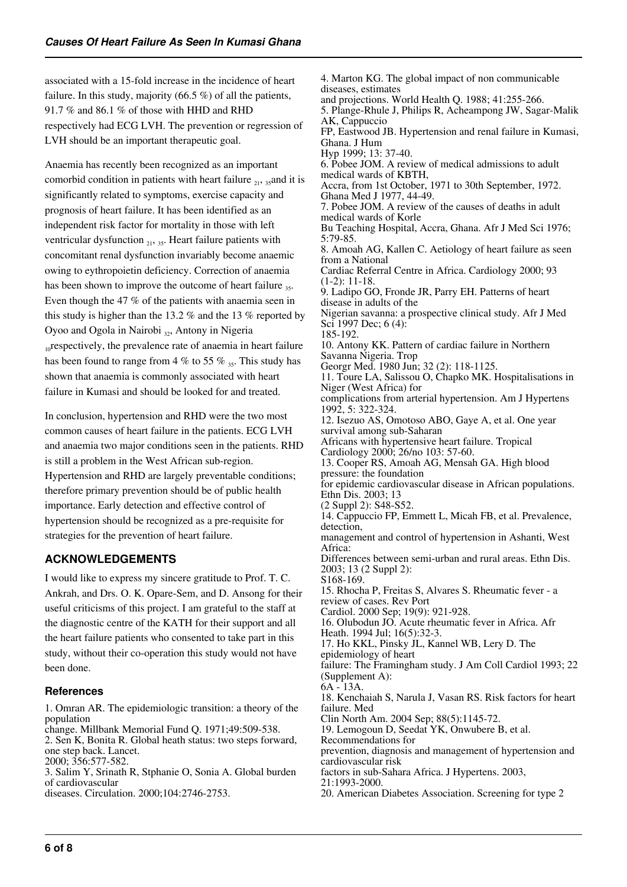associated with a 15-fold increase in the incidence of heart failure. In this study, majority (66.5 %) of all the patients, 91.7 % and 86.1 % of those with HHD and RHD respectively had ECG LVH. The prevention or regression of LVH should be an important therapeutic goal.

Anaemia has recently been recognized as an important comorbid condition in patients with heart failure  $_{21}$ ,  $_{35}$  and it is significantly related to symptoms, exercise capacity and prognosis of heart failure. It has been identified as an independent risk factor for mortality in those with left ventricular dysfunction  $_{21}$ ,  $_{35}$ . Heart failure patients with concomitant renal dysfunction invariably become anaemic owing to eythropoietin deficiency. Correction of anaemia has been shown to improve the outcome of heart failure  $_{35}$ . Even though the 47 % of the patients with anaemia seen in this study is higher than the 13.2 % and the 13 % reported by Oyoo and Ogola in Nairobi  $_3$ , Antony in Nigeria <sub>10</sub> respectively, the prevalence rate of anaemia in heart failure has been found to range from 4 % to 55 %  $\frac{1}{35}$ . This study has shown that anaemia is commonly associated with heart failure in Kumasi and should be looked for and treated.

In conclusion, hypertension and RHD were the two most common causes of heart failure in the patients. ECG LVH and anaemia two major conditions seen in the patients. RHD is still a problem in the West African sub-region. Hypertension and RHD are largely preventable conditions; therefore primary prevention should be of public health importance. Early detection and effective control of hypertension should be recognized as a pre-requisite for strategies for the prevention of heart failure.

## **ACKNOWLEDGEMENTS**

I would like to express my sincere gratitude to Prof. T. C. Ankrah, and Drs. O. K. Opare-Sem, and D. Ansong for their useful criticisms of this project. I am grateful to the staff at the diagnostic centre of the KATH for their support and all the heart failure patients who consented to take part in this study, without their co-operation this study would not have been done.

## **References**

1. Omran AR. The epidemiologic transition: a theory of the population

change. Millbank Memorial Fund Q. 1971;49:509-538. 2. Sen K, Bonita R. Global heath status: two steps forward,

one step back. Lancet. 2000; 356:577-582.

3. Salim Y, Srinath R, Stphanie O, Sonia A. Global burden of cardiovascular

diseases. Circulation. 2000;104:2746-2753.

4. Marton KG. The global impact of non communicable diseases, estimates and projections. World Health Q. 1988; 41:255-266. 5. Plange-Rhule J, Philips R, Acheampong JW, Sagar-Malik AK, Cappuccio FP, Eastwood JB. Hypertension and renal failure in Kumasi, Ghana. J Hum Hyp 1999; 13: 37-40. 6. Pobee JOM. A review of medical admissions to adult medical wards of KBTH, Accra, from 1st October, 1971 to 30th September, 1972. Ghana Med J 1977, 44-49. 7. Pobee JOM. A review of the causes of deaths in adult medical wards of Korle Bu Teaching Hospital, Accra, Ghana. Afr J Med Sci 1976; 5:79-85. 8. Amoah AG, Kallen C. Aetiology of heart failure as seen from a National Cardiac Referral Centre in Africa. Cardiology 2000; 93 (1-2): 11-18. 9. Ladipo GO, Fronde JR, Parry EH. Patterns of heart disease in adults of the Nigerian savanna: a prospective clinical study. Afr J Med Sci 1997 Dec; 6 (4): 185-192. 10. Antony KK. Pattern of cardiac failure in Northern Savanna Nigeria. Trop Georgr Med. 1980 Jun; 32 (2): 118-1125. 11. Toure LA, Salissou O, Chapko MK. Hospitalisations in Niger (West Africa) for complications from arterial hypertension. Am J Hypertens 1992, 5: 322-324. 12. Isezuo AS, Omotoso ABO, Gaye A, et al. One year survival among sub-Saharan Africans with hypertensive heart failure. Tropical Cardiology 2000; 26/no 103: 57-60. 13. Cooper RS, Amoah AG, Mensah GA. High blood pressure: the foundation for epidemic cardiovascular disease in African populations. Ethn Dis. 2003; 13 (2 Suppl 2): S48-S52. 14. Cappuccio FP, Emmett L, Micah FB, et al. Prevalence, detection, management and control of hypertension in Ashanti, West Africa: Differences between semi-urban and rural areas. Ethn Dis. 2003; 13 (2 Suppl 2): S168-169. 15. Rhocha P, Freitas S, Alvares S. Rheumatic fever - a review of cases. Rev Port Cardiol. 2000 Sep; 19(9): 921-928. 16. Olubodun JO. Acute rheumatic fever in Africa. Afr Heath. 1994 Jul; 16(5):32-3. 17. Ho KKL, Pinsky JL, Kannel WB, Lery D. The epidemiology of heart failure: The Framingham study. J Am Coll Cardiol 1993; 22 (Supplement A): 6A - 13A. 18. Kenchaiah S, Narula J, Vasan RS. Risk factors for heart failure. Med Clin North Am. 2004 Sep; 88(5):1145-72. 19. Lemogoun D, Seedat YK, Onwubere B, et al. Recommendations for prevention, diagnosis and management of hypertension and cardiovascular risk factors in sub-Sahara Africa. J Hypertens. 2003, 21:1993-2000.

20. American Diabetes Association. Screening for type 2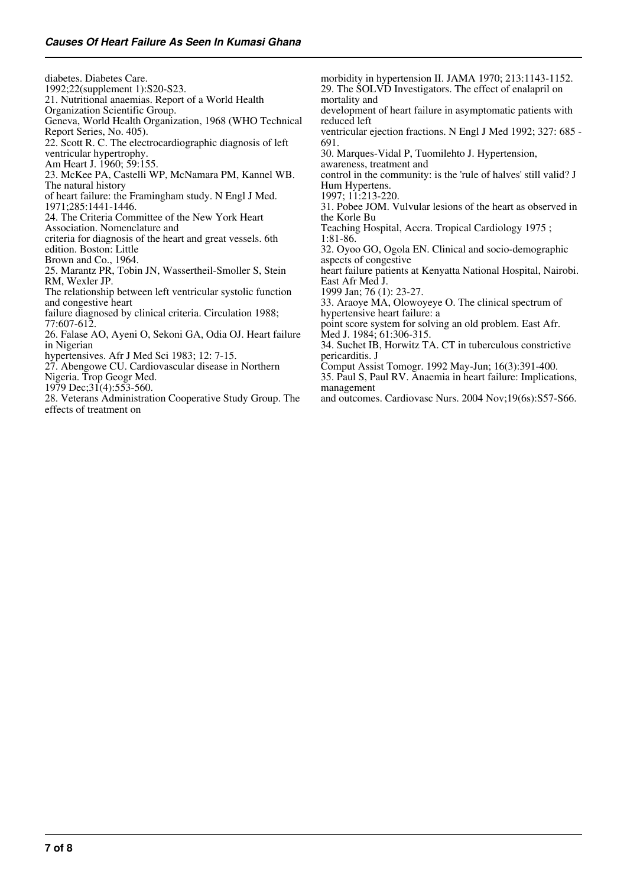diabetes. Diabetes Care. 1992;22(supplement 1):S20-S23. 21. Nutritional anaemias. Report of a World Health Organization Scientific Group. Geneva, World Health Organization, 1968 (WHO Technical Report Series, No. 405). 22. Scott R. C. The electrocardiographic diagnosis of left ventricular hypertrophy. Am Heart J. 1960; 59:155. 23. McKee PA, Castelli WP, McNamara PM, Kannel WB. The natural history of heart failure: the Framingham study. N Engl J Med. 1971;285:1441-1446. 24. The Criteria Committee of the New York Heart Association. Nomenclature and criteria for diagnosis of the heart and great vessels. 6th edition. Boston: Little Brown and Co., 1964. 25. Marantz PR, Tobin JN, Wassertheil-Smoller S, Stein RM, Wexler JP. The relationship between left ventricular systolic function and congestive heart failure diagnosed by clinical criteria. Circulation 1988; 77:607-612. 26. Falase AO, Ayeni O, Sekoni GA, Odia OJ. Heart failure in Nigerian hypertensives. Afr J Med Sci 1983; 12: 7-15. 27. Abengowe CU. Cardiovascular disease in Northern Nigeria. Trop Geogr Med. 1979 Dec;  $31(4)$ :  $553-560$ . morbidity in hypertension II. JAMA 1970; 213:1143-1152. 29. The SOLVD Investigators. The effect of enalapril on mortality and development of heart failure in asymptomatic patients with reduced left ventricular ejection fractions. N Engl J Med 1992; 327: 685 - 691. 30. Marques-Vidal P, Tuomilehto J. Hypertension, awareness, treatment and control in the community: is the 'rule of halves' still valid? J Hum Hypertens. 1997; 11:213-220. 31. Pobee JOM. Vulvular lesions of the heart as observed in the Korle Bu Teaching Hospital, Accra. Tropical Cardiology 1975 ; 1:81-86. 32. Oyoo GO, Ogola EN. Clinical and socio-demographic aspects of congestive heart failure patients at Kenyatta National Hospital, Nairobi. East Afr Med J. 1999 Jan; 76 (1): 23-27. 33. Araoye MA, Olowoyeye O. The clinical spectrum of hypertensive heart failure: a point score system for solving an old problem. East Afr. Med J. 1984; 61:306-315. 34. Suchet IB, Horwitz TA. CT in tuberculous constrictive pericarditis. J Comput Assist Tomogr. 1992 May-Jun; 16(3):391-400. 35. Paul S, Paul RV. Anaemia in heart failure: Implications, management and outcomes. Cardiovasc Nurs. 2004 Nov;19(6s):S57-S66.

28. Veterans Administration Cooperative Study Group. The effects of treatment on